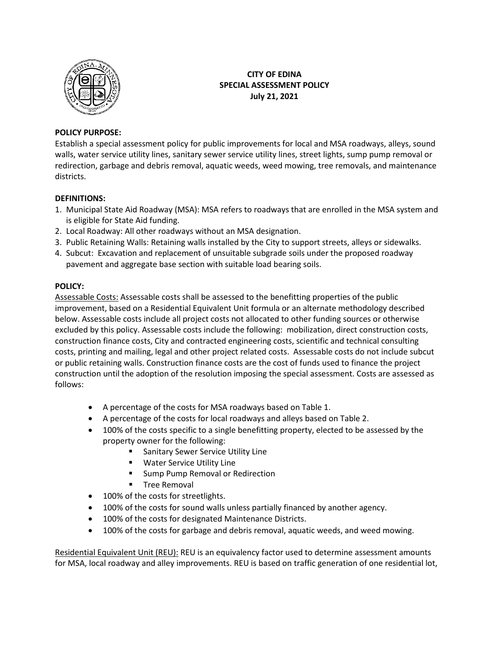

### **CITY OF EDINA SPECIAL ASSESSMENT POLICY July 21, 2021**

### **POLICY PURPOSE:**

Establish a special assessment policy for public improvements for local and MSA roadways, alleys, sound walls, water service utility lines, sanitary sewer service utility lines, street lights, sump pump removal or redirection, garbage and debris removal, aquatic weeds, weed mowing, tree removals, and maintenance districts.

#### **DEFINITIONS:**

- 1. Municipal State Aid Roadway (MSA): MSA refers to roadways that are enrolled in the MSA system and is eligible for State Aid funding.
- 2. Local Roadway: All other roadways without an MSA designation.
- 3. Public Retaining Walls: Retaining walls installed by the City to support streets, alleys or sidewalks.
- 4. Subcut: Excavation and replacement of unsuitable subgrade soils under the proposed roadway pavement and aggregate base section with suitable load bearing soils.

#### **POLICY:**

Assessable Costs: Assessable costs shall be assessed to the benefitting properties of the public improvement, based on a Residential Equivalent Unit formula or an alternate methodology described below. Assessable costs include all project costs not allocated to other funding sources or otherwise excluded by this policy. Assessable costs include the following: mobilization, direct construction costs, construction finance costs, City and contracted engineering costs, scientific and technical consulting costs, printing and mailing, legal and other project related costs. Assessable costs do not include subcut or public retaining walls. Construction finance costs are the cost of funds used to finance the project construction until the adoption of the resolution imposing the special assessment. Costs are assessed as follows:

- A percentage of the costs for MSA roadways based on Table 1.
- A percentage of the costs for local roadways and alleys based on Table 2.
- 100% of the costs specific to a single benefitting property, elected to be assessed by the property owner for the following:
	- **Sanitary Sewer Service Utility Line**
	- **Water Service Utility Line**
	- **Sump Pump Removal or Redirection**
	- **Tree Removal**
- 100% of the costs for streetlights.
- 100% of the costs for sound walls unless partially financed by another agency.
- 100% of the costs for designated Maintenance Districts.
- 100% of the costs for garbage and debris removal, aquatic weeds, and weed mowing.

Residential Equivalent Unit (REU): REU is an equivalency factor used to determine assessment amounts for MSA, local roadway and alley improvements. REU is based on traffic generation of one residential lot,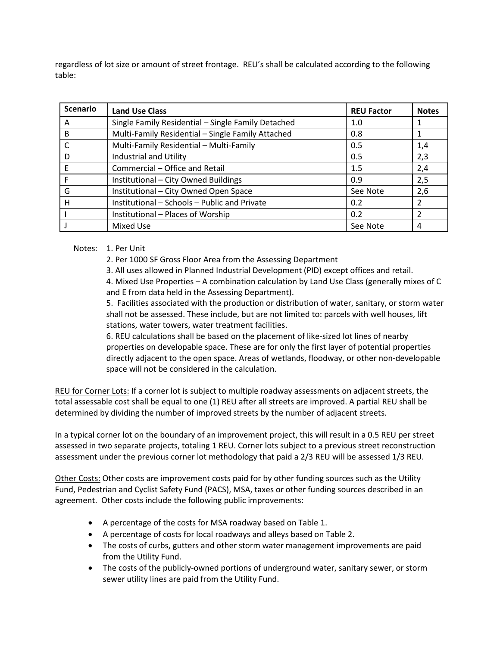regardless of lot size or amount of street frontage. REU's shall be calculated according to the following table:

| <b>Scenario</b> | <b>Land Use Class</b>                              | <b>REU Factor</b> | <b>Notes</b> |
|-----------------|----------------------------------------------------|-------------------|--------------|
| A               | Single Family Residential - Single Family Detached | 1.0               |              |
| B               | Multi-Family Residential - Single Family Attached  | 0.8               |              |
|                 | Multi-Family Residential - Multi-Family            | 0.5               | 1,4          |
| D               | Industrial and Utility                             | 0.5               | 2,3          |
| E               | Commercial - Office and Retail                     | 1.5               | 2,4          |
| F               | Institutional - City Owned Buildings               | 0.9               | 2,5          |
| G               | Institutional - City Owned Open Space              | See Note          | 2,6          |
| H               | Institutional - Schools - Public and Private       | 0.2               |              |
|                 | Institutional - Places of Worship                  | 0.2               |              |
|                 | Mixed Use                                          | See Note          | 4            |

Notes: 1. Per Unit

2. Per 1000 SF Gross Floor Area from the Assessing Department

3. All uses allowed in Planned Industrial Development (PID) except offices and retail.

4. Mixed Use Properties – A combination calculation by Land Use Class (generally mixes of C and E from data held in the Assessing Department).

5. Facilities associated with the production or distribution of water, sanitary, or storm water shall not be assessed. These include, but are not limited to: parcels with well houses, lift stations, water towers, water treatment facilities.

6. REU calculations shall be based on the placement of like-sized lot lines of nearby properties on developable space. These are for only the first layer of potential properties directly adjacent to the open space. Areas of wetlands, floodway, or other non-developable space will not be considered in the calculation.

REU for Corner Lots: If a corner lot is subject to multiple roadway assessments on adjacent streets, the total assessable cost shall be equal to one (1) REU after all streets are improved. A partial REU shall be determined by dividing the number of improved streets by the number of adjacent streets.

In a typical corner lot on the boundary of an improvement project, this will result in a 0.5 REU per street assessed in two separate projects, totaling 1 REU. Corner lots subject to a previous street reconstruction assessment under the previous corner lot methodology that paid a 2/3 REU will be assessed 1/3 REU.

Other Costs: Other costs are improvement costs paid for by other funding sources such as the Utility Fund, Pedestrian and Cyclist Safety Fund (PACS), MSA, taxes or other funding sources described in an agreement. Other costs include the following public improvements:

- A percentage of the costs for MSA roadway based on Table 1.
- A percentage of costs for local roadways and alleys based on Table 2.
- The costs of curbs, gutters and other storm water management improvements are paid from the Utility Fund.
- The costs of the publicly-owned portions of underground water, sanitary sewer, or storm sewer utility lines are paid from the Utility Fund.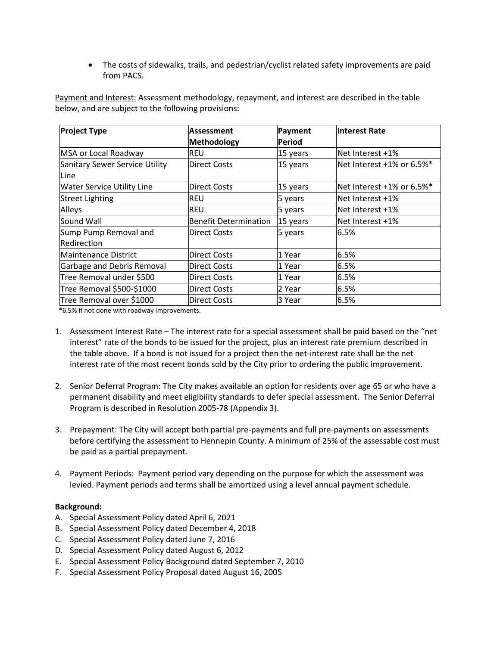• The costs of sidewalks, trails, and pedestrian/cyclist related safety improvements are paid from PACS.

Payment and Interest: Assessment methodology, repayment, and interest are described in the table below, and are subject to the following provisions:

| <b>Project Type</b>               | <b>Assessment</b>            | Payment       | <b>Interest Rate</b>       |
|-----------------------------------|------------------------------|---------------|----------------------------|
|                                   | Methodology                  | <b>Period</b> |                            |
| MSA or Local Roadway              | REU                          | 15 years      | Net Interest +1%           |
| Sanitary Sewer Service Utility    | <b>Direct Costs</b>          | 15 years      | Net Interest +1% or 6.5%*  |
| Line                              |                              |               |                            |
| <b>Water Service Utility Line</b> | <b>Direct Costs</b>          | 15 years      | lNet Interest +1% or 6.5%* |
| <b>Street Lighting</b>            | REU                          | 5 years       | Net Interest +1%           |
| Alleys                            | REU                          | 5 years       | Net Interest +1%           |
| Sound Wall                        | <b>Benefit Determination</b> | 15 years      | lNet Interest +1%          |
| Sump Pump Removal and             | <b>Direct Costs</b>          | 5 years       | 6.5%                       |
| lRedirection                      |                              |               |                            |
| lMaintenance District             | <b>Direct Costs</b>          | 1 Year        | 6.5%                       |
| Garbage and Debris Removal        | Direct Costs                 | 1 Year        | 6.5%                       |
| Tree Removal under \$500          | <b>Direct Costs</b>          | l1 Year       | 6.5%                       |
| Tree Removal \$500-\$1000         | <b>Direct Costs</b>          | 2 Year        | 6.5%                       |
| Tree Removal over \$1000          | <b>Direct Costs</b>          | l3 Year       | 6.5%                       |

\*6.5% if not done with roadway improvements.

- 1. Assessment Interest Rate The interest rate for a special assessment shall be paid based on the "net interest" rate of the bonds to be issued for the project, plus an interest rate premium described in the table above. If a bond is not issued for a project then the net-interest rate shall be the net interest rate of the most recent bonds sold by the City prior to ordering the public improvement.
- 2. Senior Deferral Program: The City makes available an option for residents over age 65 or who have a permanent disability and meet eligibility standards to defer special assessment. The Senior Deferral Program is described in Resolution 2005-78 (Appendix 3).
- 3. Prepayment: The City will accept both partial pre-payments and full pre-payments on assessments before certifying the assessment to Hennepin County. A minimum of 25% of the assessable cost must be paid as a partial prepayment.
- 4. Payment Periods: Payment period vary depending on the purpose for which the assessment was levied. Payment periods and terms shall be amortized using a level annual payment schedule.

### **Background:**

- A. Special Assessment Policy dated April 6, 2021
- B. Special Assessment Policy dated December 4, 2018
- C. Special Assessment Policy dated June 7, 2016
- D. Special Assessment Policy dated August 6, 2012
- E. Special Assessment Policy Background dated September 7, 2010
- F. Special Assessment Policy Proposal dated August 16, 2005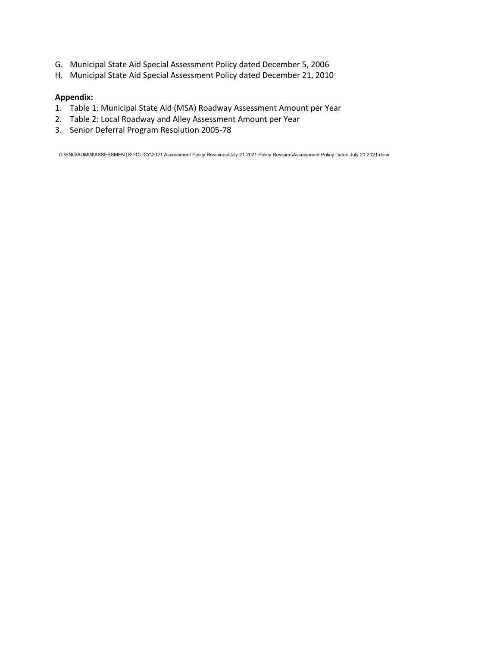- G. Municipal State Aid Special Assessment Policy dated December 5, 2006
- H. Municipal State Aid Special Assessment Policy dated December 21, 2010

#### **Appendix:**

- 1. Table 1: Municipal State Aid (MSA) Roadway Assessment Amount per Year
- 2. Table 2: Local Roadway and Alley Assessment Amount per Year
- 3. Senior Deferral Program Resolution 2005-78

G:\ENG\ADMIN\ASSESSMENTS\POLICY\2021 Assessment Policy Revisions\July 21 2021 Policy Revision\Assessment Policy Dated July 21 2021.docx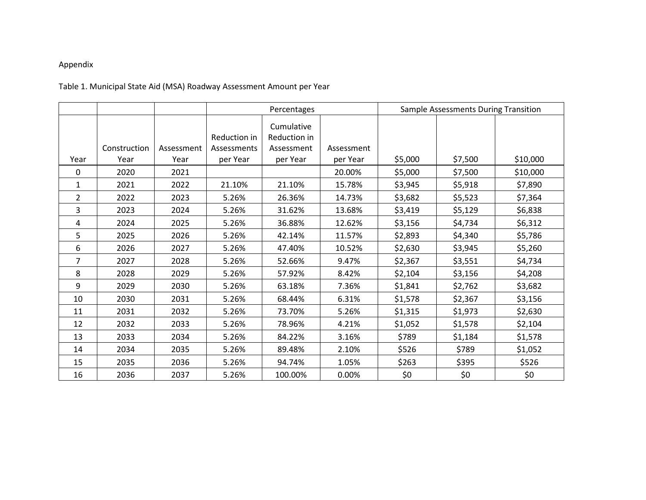# Appendix

# Table 1. Municipal State Aid (MSA) Roadway Assessment Amount per Year

|                |              |            | Percentages  |                            | Sample Assessments During Transition |         |         |          |
|----------------|--------------|------------|--------------|----------------------------|--------------------------------------|---------|---------|----------|
|                |              |            | Reduction in | Cumulative<br>Reduction in |                                      |         |         |          |
|                | Construction | Assessment | Assessments  | Assessment                 | Assessment                           |         |         |          |
| Year           | Year         | Year       | per Year     | per Year                   | per Year                             | \$5,000 | \$7,500 | \$10,000 |
| $\mathbf{0}$   | 2020         | 2021       |              |                            | 20.00%                               | \$5,000 | \$7,500 | \$10,000 |
| 1              | 2021         | 2022       | 21.10%       | 21.10%                     | 15.78%                               | \$3,945 | \$5,918 | \$7,890  |
| $\overline{2}$ | 2022         | 2023       | 5.26%        | 26.36%                     | 14.73%                               | \$3,682 | \$5,523 | \$7,364  |
| 3              | 2023         | 2024       | 5.26%        | 31.62%                     | 13.68%                               | \$3,419 | \$5,129 | \$6,838  |
| 4              | 2024         | 2025       | 5.26%        | 36.88%                     | 12.62%                               | \$3,156 | \$4,734 | \$6,312  |
| 5              | 2025         | 2026       | 5.26%        | 42.14%                     | 11.57%                               | \$2,893 | \$4,340 | \$5,786  |
| 6              | 2026         | 2027       | 5.26%        | 47.40%                     | 10.52%                               | \$2,630 | \$3,945 | \$5,260  |
| 7              | 2027         | 2028       | 5.26%        | 52.66%                     | 9.47%                                | \$2,367 | \$3,551 | \$4,734  |
| 8              | 2028         | 2029       | 5.26%        | 57.92%                     | 8.42%                                | \$2,104 | \$3,156 | \$4,208  |
| 9              | 2029         | 2030       | 5.26%        | 63.18%                     | 7.36%                                | \$1,841 | \$2,762 | \$3,682  |
| 10             | 2030         | 2031       | 5.26%        | 68.44%                     | 6.31%                                | \$1,578 | \$2,367 | \$3,156  |
| 11             | 2031         | 2032       | 5.26%        | 73.70%                     | 5.26%                                | \$1,315 | \$1,973 | \$2,630  |
| 12             | 2032         | 2033       | 5.26%        | 78.96%                     | 4.21%                                | \$1,052 | \$1,578 | \$2,104  |
| 13             | 2033         | 2034       | 5.26%        | 84.22%                     | 3.16%                                | \$789   | \$1,184 | \$1,578  |
| 14             | 2034         | 2035       | 5.26%        | 89.48%                     | 2.10%                                | \$526   | \$789   | \$1,052  |
| 15             | 2035         | 2036       | 5.26%        | 94.74%                     | 1.05%                                | \$263   | \$395   | \$526    |
| 16             | 2036         | 2037       | 5.26%        | 100.00%                    | 0.00%                                | \$0     | \$0     | \$0      |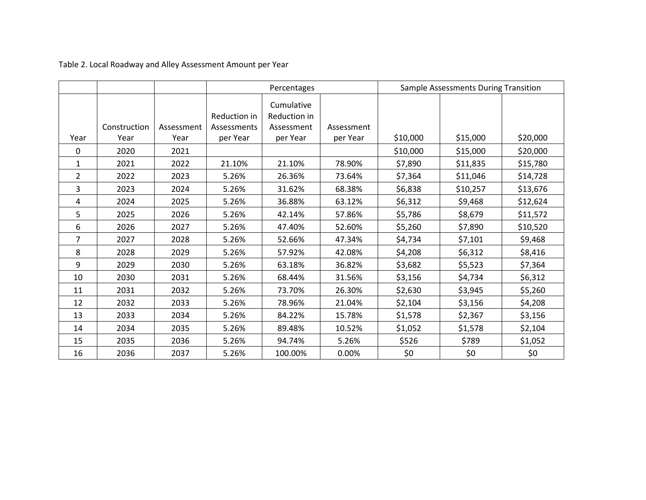Table 2. Local Roadway and Alley Assessment Amount per Year

|                |              |            | Percentages                 |                                          |            |          | Sample Assessments During Transition |          |
|----------------|--------------|------------|-----------------------------|------------------------------------------|------------|----------|--------------------------------------|----------|
|                | Construction | Assessment | Reduction in<br>Assessments | Cumulative<br>Reduction in<br>Assessment | Assessment |          |                                      |          |
| Year           | Year         | Year       | per Year                    | per Year                                 | per Year   | \$10,000 | \$15,000                             | \$20,000 |
| 0              | 2020         | 2021       |                             |                                          |            | \$10,000 | \$15,000                             | \$20,000 |
| $\mathbf{1}$   | 2021         | 2022       | 21.10%                      | 21.10%                                   | 78.90%     | \$7,890  | \$11,835                             | \$15,780 |
| $\overline{2}$ | 2022         | 2023       | 5.26%                       | 26.36%                                   | 73.64%     | \$7,364  | \$11,046                             | \$14,728 |
| 3              | 2023         | 2024       | 5.26%                       | 31.62%                                   | 68.38%     | \$6,838  | \$10,257                             | \$13,676 |
| 4              | 2024         | 2025       | 5.26%                       | 36.88%                                   | 63.12%     | \$6,312  | \$9,468                              | \$12,624 |
| 5              | 2025         | 2026       | 5.26%                       | 42.14%                                   | 57.86%     | \$5,786  | \$8,679                              | \$11,572 |
| 6              | 2026         | 2027       | 5.26%                       | 47.40%                                   | 52.60%     | \$5,260  | \$7,890                              | \$10,520 |
| $\overline{7}$ | 2027         | 2028       | 5.26%                       | 52.66%                                   | 47.34%     | \$4,734  | \$7,101                              | \$9,468  |
| 8              | 2028         | 2029       | 5.26%                       | 57.92%                                   | 42.08%     | \$4,208  | \$6,312                              | \$8,416  |
| 9              | 2029         | 2030       | 5.26%                       | 63.18%                                   | 36.82%     | \$3,682  | \$5,523                              | \$7,364  |
| 10             | 2030         | 2031       | 5.26%                       | 68.44%                                   | 31.56%     | \$3,156  | \$4,734                              | \$6,312  |
| 11             | 2031         | 2032       | 5.26%                       | 73.70%                                   | 26.30%     | \$2,630  | \$3,945                              | \$5,260  |
| 12             | 2032         | 2033       | 5.26%                       | 78.96%                                   | 21.04%     | \$2,104  | \$3,156                              | \$4,208  |
| 13             | 2033         | 2034       | 5.26%                       | 84.22%                                   | 15.78%     | \$1,578  | \$2,367                              | \$3,156  |
| 14             | 2034         | 2035       | 5.26%                       | 89.48%                                   | 10.52%     | \$1,052  | \$1,578                              | \$2,104  |
| 15             | 2035         | 2036       | 5.26%                       | 94.74%                                   | 5.26%      | \$526    | \$789                                | \$1,052  |
| 16             | 2036         | 2037       | 5.26%                       | 100.00%                                  | 0.00%      | \$0      | \$0                                  | \$0      |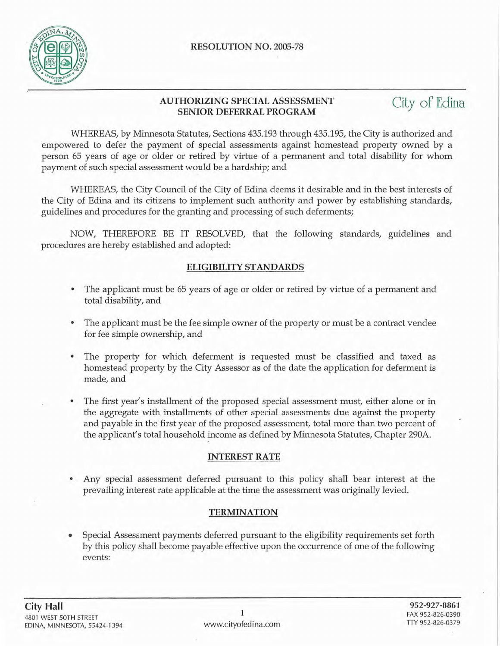

### **AUTHORIZING SPECIAL ASSESSMENT SENIOR DEFERRAL PROGRAM**

City of Edina

WHEREAS, by Minnesota Statutes, Sections 435.193 through 435.195, the City is authorized and empowered to defer the payment of special assessments against homestead property owned by a person 65 years of age or older or retired by virtue of a permanent and total disability for whom payment of such special assessment would be a hardship; and

WHEREAS, the City Council of the City of Edina deems it desirable and in the best interests of the City of Edina and its citizens to implement such authority and power by establishing standards, guidelines and procedures for the granting and processing of such deferments;

NOW, THEREFORE BE IT RESOLVED, that the following standards, guidelines and procedures are hereby established and adopted:

# **ELIGIBILITY STANDARDS**

- The applicant must be 65 years of age or older or retired by virtue of a permanent and total disability, and
- The applicant must be the fee simple owner of the property or must be a contract vendee for fee simple ownership, and
- The property for which deferment is requested must be classified and taxed as homestead property by the City Assessor as of the date the application for deferment is made, and
- The first year's installment of the proposed special assessment must, either alone or in the aggregate with installments of other special assessments due against the property and payable in the first year of the proposed assessment, total more than two percent of the applicant's total household income as defined by Minnesota Statutes, Chapter 290A.

## **INTEREST RATE**

• Any special assessment deferred pursuant to this policy shall bear interest at the prevailing interest rate applicable at the time the assessment was originally levied.

## **TERMINATION**

• Special Assessment payments deferred pursuant to the eligibility requirements set forth by this policy shall become payable effective upon the occurrence of one of the following events: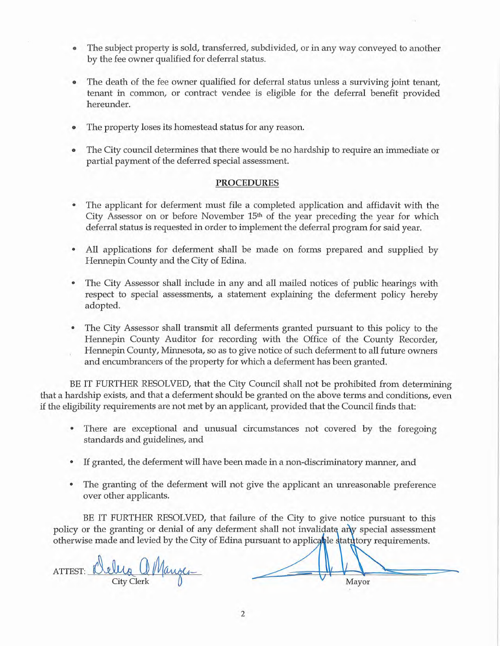- The subject property is sold, transferred, subdivided, or in any way conveyed to another by the fee owner qualified for deferral status.
- The death of the fee owner qualified for deferral status unless a surviving joint tenant, tenant in common, or contract vendee is eligible for the deferral benefit provided hereunder.
- The property loses its homestead status for any reason.
- The City council determines that there would be no hardship to require an immediate or partial payment of the deferred special assessment.

### PROCEDURES

- The applicant for deferment must file a completed application and affidavit with the City Assessor on or before November  $15<sup>th</sup>$  of the year preceding the year for which deferral status is requested in order to implement the deferral program for said year.
- All applications for deferment shall be made on forms prepared and supplied by Hennepin County and the City of Edina.
- The City Assessor shall include in any and all mailed notices of public hearings with respect to special assessments, a statement explaining the deferment policy hereby adopted.
- The City Assessor shall transmit all deferments granted pursuant to this policy to the Hennepin County Auditor for recording with the Office of the County Recorder, Hennepin County, Minnesota, so as to give notice of such deferment to all future owners and encumbrancers of the property for which a deferment has been granted.

BE IT FURTHER RESOLVED, that the City Council shall not be prohibited from determining that a hardship exists, and that a deferment should be granted on the above terms and conditions, even if the eligibility requirements are not met by an applicant, provided that the Council finds that:

- There are exceptional and unusual circumstances not covered by the foregoing standards and guidelines, and
- If granted, the deferment will have been made in a non-discriminatory manner, and
- The granting of the deferment will not give the applicant an unreasonable preference over other applicants.

BE IT FURTHER RESOLVED, that failure of the City to give notice pursuant to this policy or the granting or denial of any deferment shall not invalidate any special assessment otherwise made and levied by the City of Edina pursuant to applicable statutory requirements.

ATTEST: Delug a Manger City Clerk  $\begin{matrix} 0 & \cdots & \cdots & \cdots \end{matrix}$  Mayor